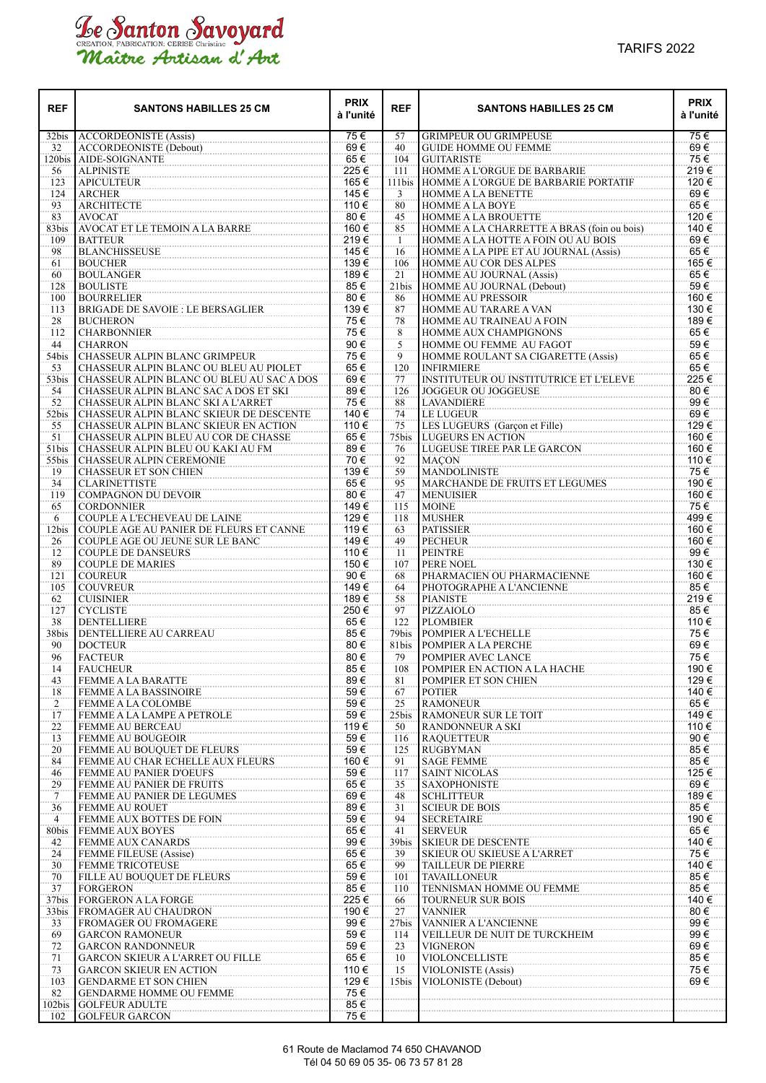## Le Santon Savoyard<br>Maître Artisan d'Art

| <b>REF</b>     | <b>SANTONS HABILLES 25 CM</b>                                                      | <b>PRIX</b><br>à l'unité | <b>REF</b>  | <b>SANTONS HABILLES 25 CM</b>                                      | <b>PRIX</b><br>à l'unité |
|----------------|------------------------------------------------------------------------------------|--------------------------|-------------|--------------------------------------------------------------------|--------------------------|
| 32bis          | <b>ACCORDEONISTE (Assis)</b>                                                       | 75€                      | 57          | <b>GRIMPEUR OU GRIMPEUSE</b>                                       | 75€                      |
| 32             | ACCORDEONISTE (Debout)                                                             | 69€                      | 40          | <b>GUIDE HOMME OU FEMME</b>                                        | 69€                      |
| 120bis<br>56   | AIDE-SOIGNANTE<br><b>ALPINISTE</b>                                                 | 65€<br>225€              | 104<br>111  | <b>GUITARISTE</b><br>HOMME A L'ORGUE DE BARBARIE                   | 75€<br>219€              |
| 123            | <b>APICULTEUR</b>                                                                  | 165 €                    | 111bis      | HOMME A L'ORGUE DE BARBARIE PORTATIF                               | 120€                     |
| 124            | <b>ARCHER</b>                                                                      | 145€                     | 3           | <b>HOMME A LA BENETTE</b>                                          | 69€                      |
| 93             | <b>ARCHITECTE</b>                                                                  | 110€                     | 80          | <b>HOMME A LA BOYE</b>                                             | 65€                      |
| 83             | <b>AVOCAT</b>                                                                      | 80€                      | 45          | <b>HOMME A LA BROUETTE</b>                                         | 120€                     |
| 83bis          | AVOCAT ET LE TEMOIN A LA BARRE                                                     | 160€                     | 85          | HOMME A LA CHARRETTE A BRAS (foin ou bois)                         | 140 €                    |
| 109            | <b>BATTEUR</b>                                                                     | 219€                     | 1           | HOMME A LA HOTTE A FOIN OU AU BOIS                                 | 69€                      |
| 98             | <b>BLANCHISSEUSE</b>                                                               | 145€                     | 16          | HOMME A LA PIPE ET AU JOURNAL (Assis)                              | 65€                      |
| 61<br>60       | <b>BOUCHER</b><br><b>BOULANGER</b>                                                 | 139€<br>189€             | 106         | <b>HOMME AU COR DES ALPES</b><br><b>HOMME AU JOURNAL (Assis)</b>   | 165€<br>65€              |
| 128            | <b>BOULISTE</b>                                                                    | 85€                      | 21<br>21bis | <b>HOMME AU JOURNAL (Debout)</b>                                   | 59€                      |
| 100            | <b>BOURRELIER</b>                                                                  | 80€                      | 86          | <b>HOMME AU PRESSOIR</b>                                           | 160 €                    |
| 113            | <b>BRIGADE DE SAVOIE : LE BERSAGLIER</b>                                           | 139€                     | 87          | <b>HOMME AU TARARE A VAN</b>                                       | 130 €                    |
| 28             | <b>BUCHERON</b>                                                                    | 75€                      | 78          | HOMME AU TRAINEAU A FOIN                                           | 189€                     |
| 112            | <b>CHARBONNIER</b>                                                                 | 75€                      | 8           | HOMME AUX CHAMPIGNONS                                              | 65€                      |
| 44             | <b>CHARRON</b>                                                                     | 90€                      | 5           | HOMME OU FEMME AU FAGOT                                            | 59€                      |
| 54bis          | <b>CHASSEUR ALPIN BLANC GRIMPEUR</b>                                               | 75€                      | 9           | <b>HOMME ROULANT SA CIGARETTE (Assis)</b>                          | 65€                      |
| 53             | CHASSEUR ALPIN BLANC OU BLEU AU PIOLET                                             | 65€<br>69€               | 120<br>77   | <b>INFIRMIERE</b><br><b>INSTITUTEUR OU INSTITUTRICE ET L'ELEVE</b> | 65€<br>225€              |
| 53bis<br>54    | CHASSEUR ALPIN BLANC OU BLEU AU SAC A DOS<br>CHASSEUR ALPIN BLANC SAC A DOS ET SKI | 89€                      | 126         | <b>JOGGEUR OU JOGGEUSE</b>                                         | 80€                      |
| 52             | CHASSEUR ALPIN BLANC SKI A L'ARRET                                                 | 75€                      | 88          | <b>LAVANDIERE</b>                                                  | 99€                      |
| 52bis          | CHASSEUR ALPIN BLANC SKIEUR DE DESCENTE                                            | 140 €                    | 74          | <b>LE LUGEUR</b>                                                   | 69€                      |
| 55             | <b>CHASSEUR ALPIN BLANC SKIEUR EN ACTION</b>                                       | 110 €                    | 75          | LES LUGEURS (Garcon et Fille)                                      | 129€                     |
| 51             | CHASSEUR ALPIN BLEU AU COR DE CHASSE                                               | 65€                      | 75bis       | <b>LUGEURS EN ACTION</b>                                           | 160 €                    |
| 51bis          | CHASSEUR ALPIN BLEU OU KAKI AU FM                                                  | 89€                      | 76          | LUGEUSE TIREE PAR LE GARCON                                        | 160 €                    |
| 55bis          | <b>CHASSEUR ALPIN CEREMONIE</b>                                                    | 70€                      | 92          | <b>MACON</b>                                                       | 110 €                    |
| 19             | <b>CHASSEUR ET SON CHIEN</b>                                                       | 139€                     | 59          | <b>MANDOLINISTE</b>                                                | 75€                      |
| 34<br>119      | <b>CLARINETTISTE</b><br><b>COMPAGNON DU DEVOIR</b>                                 | 65€<br>80€               | 95<br>47    | <b>MARCHANDE DE FRUITS ET LEGUMES</b><br><b>MENUISIER</b>          | 190 €<br>160 €           |
| 65             | <b>CORDONNIER</b>                                                                  | 149€                     | 115         | <b>MOINE</b>                                                       | 75€                      |
| 6              | COUPLE A L'ECHEVEAU DE LAINE                                                       | 129€                     | 118         | MUSHER                                                             | 499€                     |
| 12bis          | COUPLE AGE AU PANIER DE FLEURS ET CANNE                                            | 119€                     | 63          | <b>PATISSIER</b>                                                   | 160 €                    |
| 26             | COUPLE AGE OU JEUNE SUR LE BANC                                                    | 149€                     | 49          | <b>PECHEUR</b>                                                     | 160 €                    |
| 12             | <b>COUPLE DE DANSEURS</b>                                                          | 110 €                    | 11          | <b>PEINTRE</b>                                                     | 99€                      |
| 89             | <b>COUPLE DE MARIES</b>                                                            | 150€                     | 107         | PERE NOEL                                                          | 130 €                    |
| 121<br>105     | <b>COUREUR</b>                                                                     | 90€<br>149€              | 68<br>64    | PHARMACIEN OU PHARMACIENNE<br>PHOTOGRAPHE A L'ANCIENNE             | 160 €<br>85€             |
| 62             | <b>COUVREUR</b><br><b>CUISINIER</b>                                                | 189€                     | 58          | <b>PIANISTE</b>                                                    | 219€                     |
| 127            | <b>CYCLISTE</b>                                                                    | 250€                     | 97          | PIZZAIOLO                                                          | 85€                      |
| 38             | <b>DENTELLIERE</b>                                                                 | 65€                      | 122         | <b>PLOMBIER</b>                                                    | 110 €                    |
| 38bis          | DENTELLIERE AU CARREAU                                                             | 85€                      | 79bis       | POMPIER A L'ECHELLE                                                | 75€                      |
| 90             | <b>DOCTEUR</b>                                                                     | 80€                      | 81bis       | POMPIER A LA PERCHE                                                | 69€                      |
| 96             | <b>FACTEUR</b>                                                                     | 80€                      | 79          | POMPIER AVEC LANCE                                                 | 75€                      |
| 14             | <b>FAUCHEUR</b>                                                                    | 85€                      | 108         | POMPIER EN ACTION A LA HACHE                                       | 190€                     |
| 43<br>18       | <b>FEMME A LA BARATTE</b><br>FEMME A LA BASSINOIRE                                 | 89€<br>59€               | 81<br>67    | POMPIER ET SON CHIEN<br><b>POTIER</b>                              | 129€<br>140 €            |
| $\overline{2}$ | <b>FEMME A LA COLOMBE</b>                                                          | 59€                      | 25          | <b>RAMONEUR</b>                                                    | 65€                      |
| 17             | <b>FEMME A LA LAMPE A PETROLE</b>                                                  | 59€                      | 25bis       | <b>RAMONEUR SUR LE TOIT</b>                                        | 149€                     |
| 22             | <b>FEMME AU BERCEAU</b>                                                            | 119€                     | 50          | <b>RANDONNEUR A SKI</b>                                            | 110€                     |
| 13             | <b>FEMME AU BOUGEOIR</b>                                                           | 59€                      | 116         | <b>RAOUETTEUR</b>                                                  | 90€                      |
| 20             | FEMME AU BOUQUET DE FLEURS                                                         | 59€                      | 125         | RUGBYMAN                                                           | 85€                      |
| 84             | FEMME AU CHAR ECHELLE AUX FLEURS                                                   | 160€                     | 91          | <b>SAGE FEMME</b>                                                  | 85€                      |
| 46             | <b>FEMME AU PANIER D'OEUFS</b><br><b>FEMME AU PANIER DE FRUITS</b>                 | 59€<br>65€               | 117         | <b>SAINT NICOLAS</b>                                               | 125€<br>69€              |
| 29<br>7        | FEMME AU PANIER DE LEGUMES                                                         | 69€                      | 35<br>48    | <b>SAXOPHONISTE</b><br><b>SCHLITTEUR</b>                           | 189€                     |
| 36             | <b>FEMME AU ROUET</b>                                                              | 89€                      | 31          | <b>SCIEUR DE BOIS</b>                                              | 85€                      |
| $\overline{4}$ | <b>FEMME AUX BOTTES DE FOIN</b>                                                    | 59€                      | 94          | <b>SECRETAIRE</b>                                                  | 190€                     |
| 80bis          | <b>FEMME AUX BOYES</b>                                                             | 65€                      | 41          | <b>SERVEUR</b>                                                     | 65€                      |
| 42             | <b>FEMME AUX CANARDS</b>                                                           | 99€                      | 39bis       | <b>SKIEUR DE DESCENTE</b>                                          | 140€                     |
| 24             | <b>FEMME FILEUSE (Assise)</b>                                                      | 65€                      | 39          | <b>SKIEUR OU SKIEUSE A L'ARRET</b>                                 | 75€                      |
| 30             | <b>FEMME TRICOTEUSE</b>                                                            | 65€                      | 99          | <b>TAILLEUR DE PIERRE</b>                                          | 140 €                    |
| 70             | FILLE AU BOUQUET DE FLEURS                                                         | 59€                      | 101         | <b>TAVAILLONEUR</b>                                                | 85€                      |
| 37<br>37bis    | FORGERON<br><b>FORGERON A LA FORGE</b>                                             | 85€<br>225€              | 110<br>66   | TENNISMAN HOMME OU FEMME<br><b>TOURNEUR SUR BOIS</b>               | 85€<br>140 €             |
| 33bis          | <b>FROMAGER AU CHAUDRON</b>                                                        | 190 €                    | 27          | <b>VANNIER</b>                                                     | 80€                      |
| 33             | FROMAGER OU FROMAGERE                                                              | 99€                      | 27bis       | VANNIER A L'ANCIENNE                                               | 99€                      |
| 69             | <b>GARCON RAMONEUR</b>                                                             | 59€                      | 114         | VEILLEUR DE NUIT DE TURCKHEIM                                      | 99€                      |
| 72             | <b>GARCON RANDONNEUR</b>                                                           | 59€                      | 23          | <b>VIGNERON</b>                                                    | 69€                      |
| 71             | <b>GARCON SKIEUR A L'ARRET OU FILLE</b>                                            | 65€                      | 10          | <b>VIOLONCELLISTE</b>                                              | 85€                      |
| 73             | <b>GARCON SKIEUR EN ACTION</b>                                                     | 110 €                    | 15          | VIOLONISTE (Assis)                                                 | 75€                      |
| 103            | <b>GENDARME ET SON CHIEN</b>                                                       | 129€<br>75€              | 15bis       | VIOLONISTE (Debout)                                                | 69€                      |
| 82<br>102bis   | <b>GENDARME HOMME OU FEMME</b><br>  GOLFEUR ADULTE                                 | 85€                      |             |                                                                    |                          |
| 102            | <b>GOLFEUR GARCON</b>                                                              | 75€                      |             |                                                                    |                          |